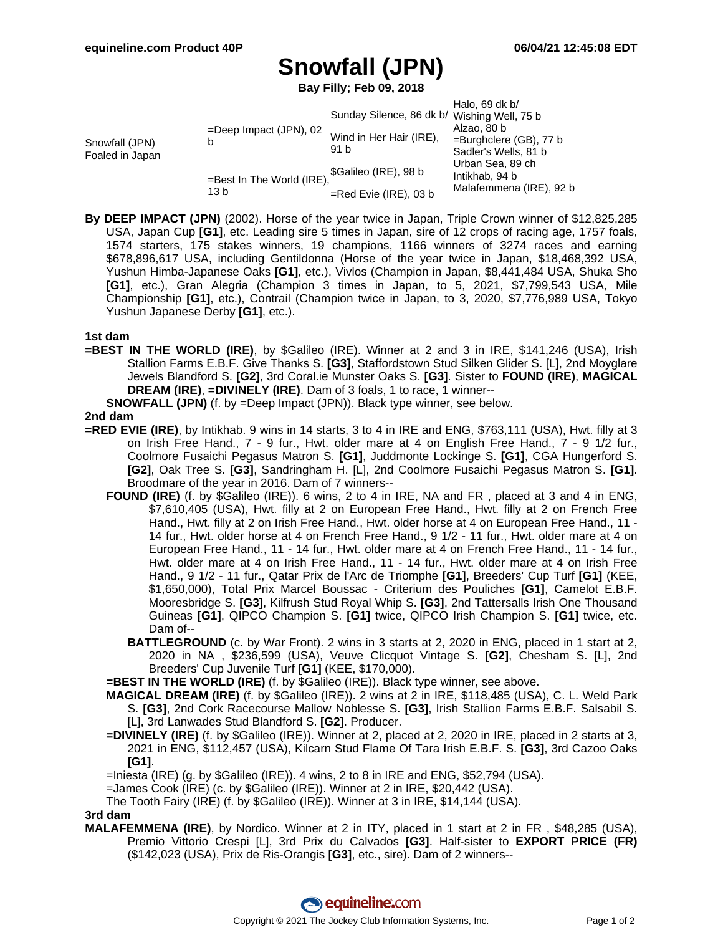## **Snowfall (JPN)**

**Bay Filly; Feb 09, 2018**

|                                   |                                   |                                             | Halo, 69 dk $b/$          |
|-----------------------------------|-----------------------------------|---------------------------------------------|---------------------------|
|                                   |                                   | Sunday Silence, 86 dk b/ Wishing Well, 75 b |                           |
| Snowfall (JPN)<br>Foaled in Japan | $=$ Deep Impact (JPN), 02<br>b    | Wind in Her Hair (IRE),<br>91 b             | Alzao, 80 b               |
|                                   |                                   |                                             | $=$ Burghclere (GB), 77 b |
|                                   |                                   |                                             | Sadler's Wells, 81 b      |
|                                   | =Best In The World (IRE),<br>13 b | \$Galileo (IRE), 98 b                       | Urban Sea, 89 ch          |
|                                   |                                   |                                             | Intikhab, 94 b            |
|                                   |                                   | $=$ Red Evie (IRE), 03 b                    | Malafemmena (IRE), 92 b   |

**By DEEP IMPACT (JPN)** (2002). Horse of the year twice in Japan, Triple Crown winner of \$12,825,285 USA, Japan Cup **[G1]**, etc. Leading sire 5 times in Japan, sire of 12 crops of racing age, 1757 foals, 1574 starters, 175 stakes winners, 19 champions, 1166 winners of 3274 races and earning \$678,896,617 USA, including Gentildonna (Horse of the year twice in Japan, \$18,468,392 USA, Yushun Himba-Japanese Oaks **[G1]**, etc.), Vivlos (Champion in Japan, \$8,441,484 USA, Shuka Sho **[G1]**, etc.), Gran Alegria (Champion 3 times in Japan, to 5, 2021, \$7,799,543 USA, Mile Championship **[G1]**, etc.), Contrail (Champion twice in Japan, to 3, 2020, \$7,776,989 USA, Tokyo Yushun Japanese Derby **[G1]**, etc.).

## **1st dam**

**=BEST IN THE WORLD (IRE)**, by \$Galileo (IRE). Winner at 2 and 3 in IRE, \$141,246 (USA), Irish Stallion Farms E.B.F. Give Thanks S. **[G3]**, Staffordstown Stud Silken Glider S. [L], 2nd Moyglare Jewels Blandford S. **[G2]**, 3rd Coral.ie Munster Oaks S. **[G3]**. Sister to **FOUND (IRE)**, **MAGICAL DREAM (IRE)**, **=DIVINELY (IRE)**. Dam of 3 foals, 1 to race, 1 winner--

**SNOWFALL (JPN)** (f. by =Deep Impact (JPN)). Black type winner, see below.

## **2nd dam**

- **=RED EVIE (IRE)**, by Intikhab. 9 wins in 14 starts, 3 to 4 in IRE and ENG, \$763,111 (USA), Hwt. filly at 3 on Irish Free Hand., 7 - 9 fur., Hwt. older mare at 4 on English Free Hand., 7 - 9 1/2 fur., Coolmore Fusaichi Pegasus Matron S. **[G1]**, Juddmonte Lockinge S. **[G1]**, CGA Hungerford S. **[G2]**, Oak Tree S. **[G3]**, Sandringham H. [L], 2nd Coolmore Fusaichi Pegasus Matron S. **[G1]**. Broodmare of the year in 2016. Dam of 7 winners--
	- **FOUND (IRE)** (f. by \$Galileo (IRE)). 6 wins, 2 to 4 in IRE, NA and FR , placed at 3 and 4 in ENG, \$7,610,405 (USA), Hwt. filly at 2 on European Free Hand., Hwt. filly at 2 on French Free Hand., Hwt. filly at 2 on Irish Free Hand., Hwt. older horse at 4 on European Free Hand., 11 - 14 fur., Hwt. older horse at 4 on French Free Hand., 9 1/2 - 11 fur., Hwt. older mare at 4 on European Free Hand., 11 - 14 fur., Hwt. older mare at 4 on French Free Hand., 11 - 14 fur., Hwt. older mare at 4 on Irish Free Hand., 11 - 14 fur., Hwt. older mare at 4 on Irish Free Hand., 9 1/2 - 11 fur., Qatar Prix de l'Arc de Triomphe **[G1]**, Breeders' Cup Turf **[G1]** (KEE, \$1,650,000), Total Prix Marcel Boussac - Criterium des Pouliches **[G1]**, Camelot E.B.F. Mooresbridge S. **[G3]**, Kilfrush Stud Royal Whip S. **[G3]**, 2nd Tattersalls Irish One Thousand Guineas **[G1]**, QIPCO Champion S. **[G1]** twice, QIPCO Irish Champion S. **[G1]** twice, etc. Dam of--
		- **BATTLEGROUND** (c. by War Front). 2 wins in 3 starts at 2, 2020 in ENG, placed in 1 start at 2, 2020 in NA , \$236,599 (USA), Veuve Clicquot Vintage S. **[G2]**, Chesham S. [L], 2nd Breeders' Cup Juvenile Turf **[G1]** (KEE, \$170,000).

**=BEST IN THE WORLD (IRE)** (f. by \$Galileo (IRE)). Black type winner, see above.

- **MAGICAL DREAM (IRE)** (f. by \$Galileo (IRE)). 2 wins at 2 in IRE, \$118,485 (USA), C. L. Weld Park S. **[G3]**, 2nd Cork Racecourse Mallow Noblesse S. **[G3]**, Irish Stallion Farms E.B.F. Salsabil S. [L], 3rd Lanwades Stud Blandford S. **[G2]**. Producer.
- **=DIVINELY (IRE)** (f. by \$Galileo (IRE)). Winner at 2, placed at 2, 2020 in IRE, placed in 2 starts at 3, 2021 in ENG, \$112,457 (USA), Kilcarn Stud Flame Of Tara Irish E.B.F. S. **[G3]**, 3rd Cazoo Oaks **[G1]**.

=Iniesta (IRE) (g. by \$Galileo (IRE)). 4 wins, 2 to 8 in IRE and ENG, \$52,794 (USA).

=James Cook (IRE) (c. by \$Galileo (IRE)). Winner at 2 in IRE, \$20,442 (USA).

The Tooth Fairy (IRE) (f. by \$Galileo (IRE)). Winner at 3 in IRE, \$14,144 (USA).

**3rd dam**

**MALAFEMMENA (IRE)**, by Nordico. Winner at 2 in ITY, placed in 1 start at 2 in FR , \$48,285 (USA), Premio Vittorio Crespi [L], 3rd Prix du Calvados **[G3]**. Half-sister to **EXPORT PRICE (FR)** (\$142,023 (USA), Prix de Ris-Orangis **[G3]**, etc., sire). Dam of 2 winners--